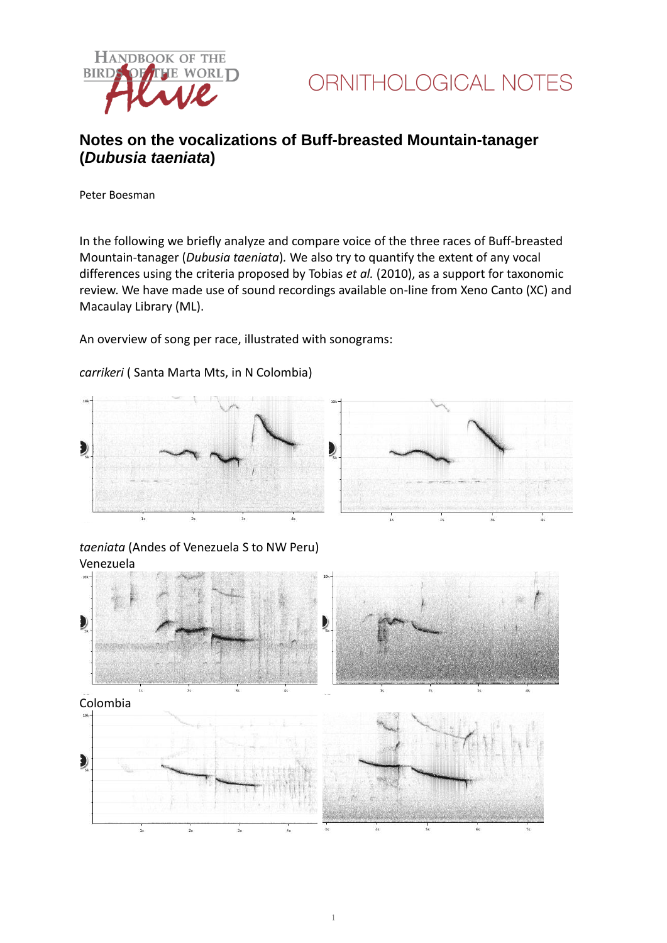



## **Notes on the vocalizations of Buff-breasted Mountain-tanager (***Dubusia taeniata***)**

Peter Boesman

In the following we briefly analyze and compare voice of the three races of Buff-breasted Mountain-tanager (*Dubusia taeniata*)*.* We also try to quantify the extent of any vocal differences using the criteria proposed by Tobias *et al.* (2010), as a support for taxonomic review. We have made use of sound recordings available on-line from Xeno Canto (XC) and Macaulay Library (ML).

An overview of song per race, illustrated with sonograms:

### *carrikeri* ( Santa Marta Mts, in N Colombia)



### *taeniata* (Andes of Venezuela S to NW Peru) Venezuela

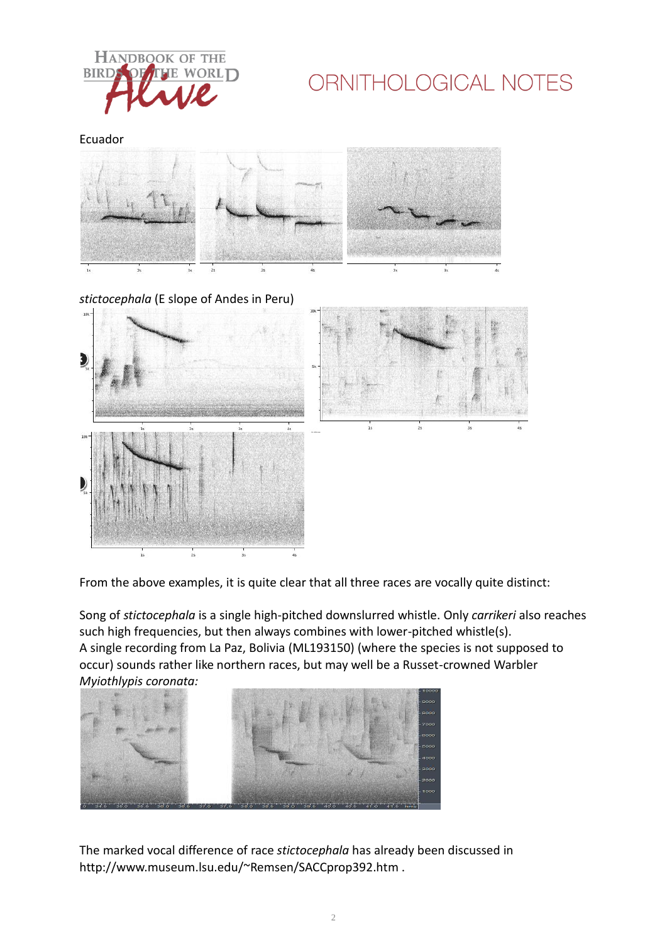

# ORNITHOLOGICAL NOTES

Ecuador





From the above examples, it is quite clear that all three races are vocally quite distinct:

Song of *stictocephala* is a single high-pitched downslurred whistle. Only *carrikeri* also reaches such high frequencies, but then always combines with lower-pitched whistle(s). A single recording from La Paz, Bolivia (ML193150) (where the species is not supposed to occur) sounds rather like northern races, but may well be a Russet-crowned Warbler *Myiothlypis coronata:*



The marked vocal difference of race *stictocephala* has already been discussed in http://www.museum.lsu.edu/~Remsen/SACCprop392.htm .